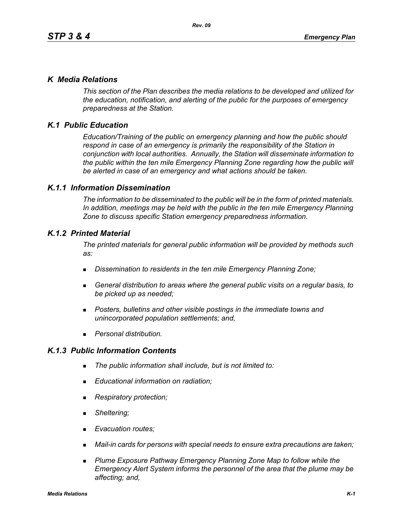# *K Media Relations*

*This section of the Plan describes the media relations to be developed and utilized for the education, notification, and alerting of the public for the purposes of emergency preparedness at the Station.*

# *K.1 Public Education*

*Education/Training of the public on emergency planning and how the public should respond in case of an emergency is primarily the responsibility of the Station in conjunction with local authorities. Annually, the Station will disseminate information to the public within the ten mile Emergency Planning Zone regarding how the public will be alerted in case of an emergency and what actions should be taken.* 

# *K.1.1 Information Dissemination*

*The information to be disseminated to the public will be in the form of printed materials. In addition, meetings may be held with the public in the ten mile Emergency Planning Zone to discuss specific Station emergency preparedness information.* 

# *K.1.2 Printed Material*

*The printed materials for general public information will be provided by methods such as:* 

- *Dissemination to residents in the ten mile Emergency Planning Zone;*
- *General distribution to areas where the general public visits on a regular basis, to be picked up as needed;*
- *Posters, bulletins and other visible postings in the immediate towns and unincorporated population settlements; and,*
- *Personal distribution.*

# *K.1.3 Public Information Contents*

- *The public information shall include, but is not limited to:*
- *Educational information on radiation;*
- *Respiratory protection;*
- *Sheltering;*
- *Evacuation routes;*
- *Mail-in cards for persons with special needs to ensure extra precautions are taken;*
- **Plume Exposure Pathway Emergency Planning Zone Map to follow while the** *Emergency Alert System informs the personnel of the area that the plume may be affecting; and,*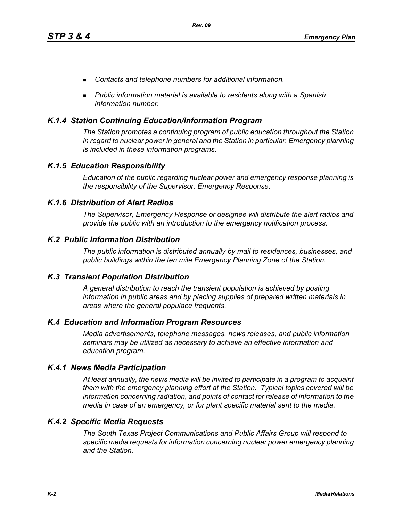- *Contacts and telephone numbers for additional information.*
- *Public information material is available to residents along with a Spanish information number.*

# *K.1.4 Station Continuing Education/Information Program*

*The Station promotes a continuing program of public education throughout the Station in regard to nuclear power in general and the Station in particular. Emergency planning is included in these information programs.* 

# *K.1.5 Education Responsibility*

*Education of the public regarding nuclear power and emergency response planning is the responsibility of the Supervisor, Emergency Response.* 

# *K.1.6 Distribution of Alert Radios*

*The Supervisor, Emergency Response or designee will distribute the alert radios and provide the public with an introduction to the emergency notification process.* 

## *K.2 Public Information Distribution*

*The public information is distributed annually by mail to residences, businesses, and public buildings within the ten mile Emergency Planning Zone of the Station.*

## *K.3 Transient Population Distribution*

*A general distribution to reach the transient population is achieved by posting information in public areas and by placing supplies of prepared written materials in areas where the general populace frequents.* 

## *K.4 Education and Information Program Resources*

*Media advertisements, telephone messages, news releases, and public information seminars may be utilized as necessary to achieve an effective information and education program.* 

## *K.4.1 News Media Participation*

*At least annually, the news media will be invited to participate in a program to acquaint them with the emergency planning effort at the Station. Typical topics covered will be information concerning radiation, and points of contact for release of information to the media in case of an emergency, or for plant specific material sent to the media.*

## *K.4.2 Specific Media Requests*

*The South Texas Project Communications and Public Affairs Group will respond to specific media requests for information concerning nuclear power emergency planning and the Station.*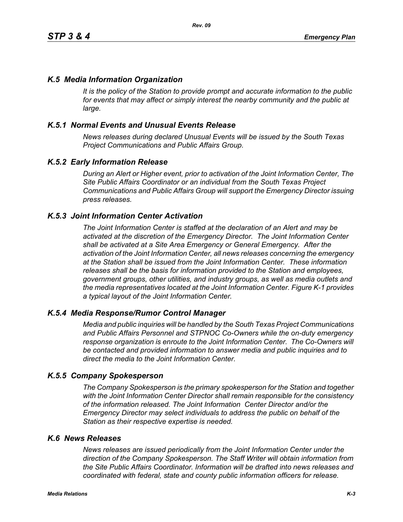# *K.5 Media Information Organization*

*It is the policy of the Station to provide prompt and accurate information to the public*  for events that may affect or simply interest the nearby community and the public at *large.* 

# *K.5.1 Normal Events and Unusual Events Release*

*News releases during declared Unusual Events will be issued by the South Texas Project Communications and Public Affairs Group.* 

## *K.5.2 Early Information Release*

*During an Alert or Higher event, prior to activation of the Joint Information Center, The Site Public Affairs Coordinator or an individual from the South Texas Project Communications and Public Affairs Group will support the Emergency Director issuing press releases.* 

#### *K.5.3 Joint Information Center Activation*

*The Joint Information Center is staffed at the declaration of an Alert and may be activated at the discretion of the Emergency Director. The Joint Information Center shall be activated at a Site Area Emergency or General Emergency. After the activation of the Joint Information Center, all news releases concerning the emergency at the Station shall be issued from the Joint Information Center. These information releases shall be the basis for information provided to the Station and employees, government groups, other utilities, and industry groups, as well as media outlets and the media representatives located at the Joint Information Center. Figure K-1 provides a typical layout of the Joint Information Center.* 

#### *K.5.4 Media Response/Rumor Control Manager*

*Media and public inquiries will be handled by the South Texas Project Communications and Public Affairs Personnel and STPNOC Co-Owners while the on-duty emergency response organization is enroute to the Joint Information Center. The Co-Owners will be contacted and provided information to answer media and public inquiries and to direct the media to the Joint Information Center.*

#### *K.5.5 Company Spokesperson*

*The Company Spokesperson is the primary spokesperson for the Station and together with the Joint Information Center Director shall remain responsible for the consistency of the information released. The Joint Information Center Director and/or the Emergency Director may select individuals to address the public on behalf of the Station as their respective expertise is needed.* 

#### *K.6 News Releases*

*News releases are issued periodically from the Joint Information Center under the direction of the Company Spokesperson. The Staff Writer will obtain information from the Site Public Affairs Coordinator. Information will be drafted into news releases and coordinated with federal, state and county public information officers for release.*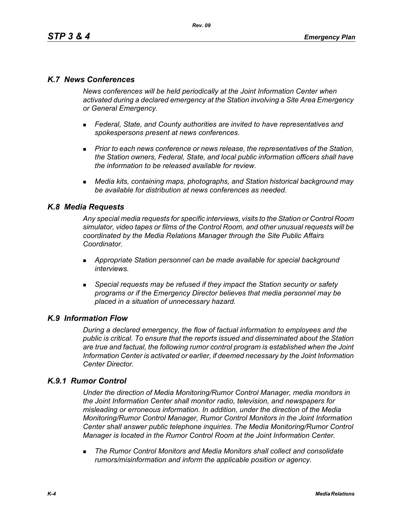# *K.7 News Conferences*

*News conferences will be held periodically at the Joint Information Center when activated during a declared emergency at the Station involving a Site Area Emergency or General Emergency.* 

- *Federal, State, and County authorities are invited to have representatives and spokespersons present at news conferences.*
- **Prior to each news conference or news release, the representatives of the Station,** *the Station owners, Federal, State, and local public information officers shall have the information to be released available for review.*
- *Media kits, containing maps, photographs, and Station historical background may be available for distribution at news conferences as needed.*

# *K.8 Media Requests*

*Any special media requests for specific interviews, visits to the Station or Control Room simulator, video tapes or films of the Control Room, and other unusual requests will be coordinated by the Media Relations Manager through the Site Public Affairs Coordinator.* 

- *Appropriate Station personnel can be made available for special background interviews.*
- *Special requests may be refused if they impact the Station security or safety programs or if the Emergency Director believes that media personnel may be placed in a situation of unnecessary hazard.*

## *K.9 Information Flow*

*During a declared emergency, the flow of factual information to employees and the public is critical. To ensure that the reports issued and disseminated about the Station are true and factual, the following rumor control program is established when the Joint Information Center is activated or earlier, if deemed necessary by the Joint Information Center Director.* 

# *K.9.1 Rumor Control*

*Under the direction of Media Monitoring/Rumor Control Manager, media monitors in the Joint Information Center shall monitor radio, television, and newspapers for misleading or erroneous information. In addition, under the direction of the Media Monitoring/Rumor Control Manager, Rumor Control Monitors in the Joint Information Center shall answer public telephone inquiries. The Media Monitoring/Rumor Control Manager is located in the Rumor Control Room at the Joint Information Center.* 

 *The Rumor Control Monitors and Media Monitors shall collect and consolidate rumors/misinformation and inform the applicable position or agency.*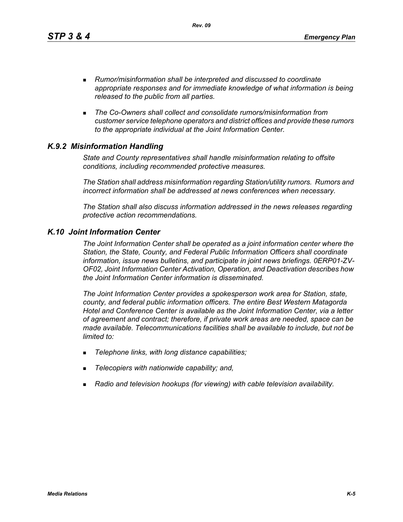*Rev. 09*

- *Rumor/misinformation shall be interpreted and discussed to coordinate appropriate responses and for immediate knowledge of what information is being released to the public from all parties.*
- *The Co-Owners shall collect and consolidate rumors/misinformation from customer service telephone operators and district offices and provide these rumors to the appropriate individual at the Joint Information Center.*

# *K.9.2 Misinformation Handling*

*State and County representatives shall handle misinformation relating to offsite conditions, including recommended protective measures.* 

*The Station shall address misinformation regarding Station/utility rumors. Rumors and incorrect information shall be addressed at news conferences when necessary.* 

*The Station shall also discuss information addressed in the news releases regarding protective action recommendations.* 

## *K.10 Joint Information Center*

*The Joint Information Center shall be operated as a joint information center where the Station, the State, County, and Federal Public Information Officers shall coordinate information, issue news bulletins, and participate in joint news briefings. 0ERP01-ZV-OF02, Joint Information Center Activation, Operation, and Deactivation describes how the Joint Information Center information is disseminated.*

*The Joint Information Center provides a spokesperson work area for Station, state, county, and federal public information officers. The entire Best Western Matagorda Hotel and Conference Center is available as the Joint Information Center, via a letter of agreement and contract; therefore, if private work areas are needed, space can be made available. Telecommunications facilities shall be available to include, but not be limited to:* 

- *Telephone links, with long distance capabilities;*
- *Telecopiers with nationwide capability; and,*
- *Radio and television hookups (for viewing) with cable television availability.*